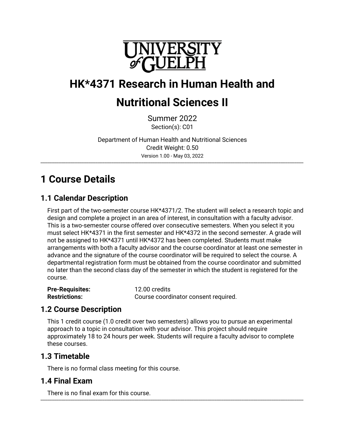

# **HK\*4371 Research in Human Health and**

# **Nutritional Sciences II**

Summer 2022 Section(s): C01

Department of Human Health and Nutritional Sciences Credit Weight: 0.50 Version 1.00 - May 03, 2022

\_\_\_\_\_\_\_\_\_\_\_\_\_\_\_\_\_\_\_\_\_\_\_\_\_\_\_\_\_\_\_\_\_\_\_\_\_\_\_\_\_\_\_\_\_\_\_\_\_\_\_\_\_\_\_\_\_\_\_\_\_\_\_\_\_\_\_\_\_\_\_\_\_\_\_\_\_\_\_\_\_\_\_\_\_\_\_\_\_\_\_\_\_\_\_\_\_\_\_\_\_\_\_\_\_\_\_\_\_\_\_\_\_\_\_

# **1 Course Details**

# **1.1 Calendar Description**

First part of the two-semester course HK\*4371/2. The student will select a research topic and design and complete a project in an area of interest, in consultation with a faculty advisor. This is a two-semester course offered over consecutive semesters. When you select it you must select HK\*4371 in the first semester and HK\*4372 in the second semester. A grade will not be assigned to HK\*4371 until HK\*4372 has been completed. Students must make arrangements with both a faculty advisor and the course coordinator at least one semester in advance and the signature of the course coordinator will be required to select the course. A departmental registration form must be obtained from the course coordinator and submitted no later than the second class day of the semester in which the student is registered for the course.

| <b>Pre-Requisites:</b> | 12.00 credits                        |
|------------------------|--------------------------------------|
| <b>Restrictions:</b>   | Course coordinator consent required. |

## **1.2 Course Description**

This 1 credit course (1.0 credit over two semesters) allows you to pursue an experimental approach to a topic in consultation with your advisor. This project should require approximately 18 to 24 hours per week. Students will require a faculty advisor to complete these courses.

## **1.3 Timetable**

There is no formal class meeting for this course.

# **1.4 Final Exam**

There is no final exam for this course. \_\_\_\_\_\_\_\_\_\_\_\_\_\_\_\_\_\_\_\_\_\_\_\_\_\_\_\_\_\_\_\_\_\_\_\_\_\_\_\_\_\_\_\_\_\_\_\_\_\_\_\_\_\_\_\_\_\_\_\_\_\_\_\_\_\_\_\_\_\_\_\_\_\_\_\_\_\_\_\_\_\_\_\_\_\_\_\_\_\_\_\_\_\_\_\_\_\_\_\_\_\_\_\_\_\_\_\_\_\_\_\_\_\_\_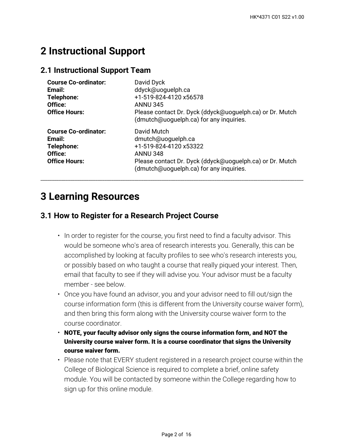# **2 Instructional Support**

### **2.1 Instructional Support Team**

| <b>Course Co-ordinator:</b><br>Email:<br>Telephone:<br>Office:<br><b>Office Hours:</b> | David Dyck<br>ddyck@uoquelph.ca<br>+1-519-824-4120 x56578<br><b>ANNU 345</b><br>Please contact Dr. Dyck (ddyck@uoguelph.ca) or Dr. Mutch<br>(dmutch@uoguelph.ca) for any inquiries.   |
|----------------------------------------------------------------------------------------|---------------------------------------------------------------------------------------------------------------------------------------------------------------------------------------|
| <b>Course Co-ordinator:</b><br>Email:<br>Telephone:<br>Office:<br><b>Office Hours:</b> | David Mutch<br>dmutch@uoguelph.ca<br>+1-519-824-4120 x53322<br><b>ANNU 348</b><br>Please contact Dr. Dyck (ddyck@uoguelph.ca) or Dr. Mutch<br>(dmutch@uoguelph.ca) for any inquiries. |

\_\_\_\_\_\_\_\_\_\_\_\_\_\_\_\_\_\_\_\_\_\_\_\_\_\_\_\_\_\_\_\_\_\_\_\_\_\_\_\_\_\_\_\_\_\_\_\_\_\_\_\_\_\_\_\_\_\_\_\_\_\_\_\_\_\_\_\_\_\_\_\_\_\_\_\_\_\_\_\_\_\_\_\_\_\_\_\_\_\_\_\_\_\_\_\_\_\_\_\_\_\_\_\_\_\_\_\_\_\_\_\_\_\_\_

# **3 Learning Resources**

## **3.1 How to Register for a Research Project Course**

- $\bm{\cdot}$  In order to register for the course, you first need to find a faculty advisor. This would be someone who's area of research interests you. Generally, this can be accomplished by looking at faculty profiles to see who's research interests you, or possibly based on who taught a course that really piqued your interest. Then, email that faculty to see if they will advise you. Your advisor must be a faculty member - see below.
- Once you have found an advisor, you and your advisor need to fill out/sign the course information form (this is different from the University course waiver form), and then bring this form along with the University course waiver form to the course coordinator.
- **NOTE, your faculty advisor only signs the course information form, and NOT the University course waiver form. It is a course coordinator that signs the University course waiver form.**
- Please note that EVERY student registered in a research project course within the College of Biological Science is required to complete a brief, online safety module. You will be contacted by someone within the College regarding how to sign up for this online module.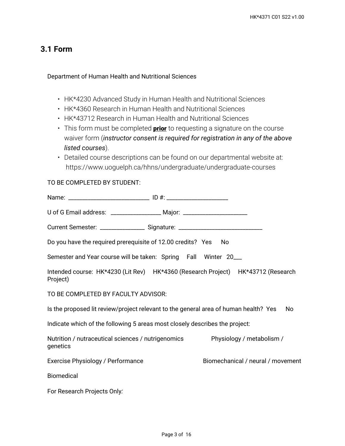## **3.1 Form**

#### Department of Human Health and Nutritional Sciences

- HK\*4230 Advanced Study in Human Health and Nutritional Sciences
- HK\*4360 Research in Human Health and Nutritional Sciences
- HK\*43712 Research in Human Health and Nutritional Sciences
- This form must be completed **prior** to requesting a signature on the course waiver form (*instructor consent is required for registration in any of the above listed courses*).
- Detailed course descriptions can be found on our departmental website at: https://www.uoguelph.ca/hhns/undergraduate/undergraduate-courses

#### TO BE COMPLETED BY STUDENT:

| U of G Email address: ___________________ Major: _______________________________ |                                                                                            |
|----------------------------------------------------------------------------------|--------------------------------------------------------------------------------------------|
| Current Semester: __________________ Signature: ________________________________ |                                                                                            |
| Do you have the required prerequisite of 12.00 credits? Yes                      | - No                                                                                       |
| Semester and Year course will be taken: Spring Fall Winter 20___                 |                                                                                            |
| Project)                                                                         | Intended course: HK*4230 (Lit Rev) HK*4360 (Research Project) HK*43712 (Research           |
| TO BE COMPLETED BY FACULTY ADVISOR:                                              |                                                                                            |
|                                                                                  | Is the proposed lit review/project relevant to the general area of human health? Yes<br>No |
| Indicate which of the following 5 areas most closely describes the project:      |                                                                                            |
| Nutrition / nutraceutical sciences / nutrigenomics<br>genetics                   | Physiology / metabolism /                                                                  |
| Exercise Physiology / Performance                                                | Biomechanical / neural / movement                                                          |
| <b>Biomedical</b>                                                                |                                                                                            |
| For Research Projects Only:                                                      |                                                                                            |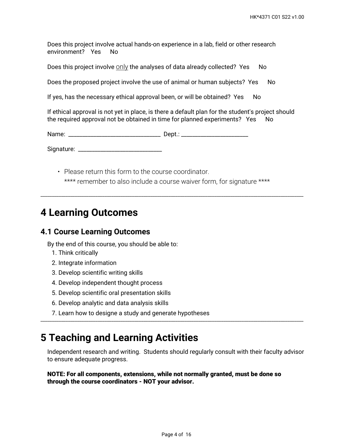Does this project involve actual hands-on experience in a lab, field or other research environment? Yes No

Does this project involve  $\frac{On}{\chi}$  the analyses of data already collected? Yes No

Does the proposed project involve the use of animal or human subjects? Yes No

If yes, has the necessary ethical approval been, or will be obtained? Yes No

If ethical approval is not yet in place, is there a default plan for the student's project should the required approval not be obtained in time for planned experiments? Yes No

Name: \_\_\_\_\_\_\_\_\_\_\_\_\_\_\_\_\_\_\_\_\_\_\_\_\_\_\_\_\_\_\_\_\_ Dept.: \_\_\_\_\_\_\_\_\_\_\_\_\_\_\_\_\_\_\_\_\_\_\_\_

Signature: \_\_\_\_\_\_\_\_\_\_\_\_\_\_\_\_\_\_\_\_\_\_\_\_\_\_\_\_\_\_

• Please return this form to the course coordinator. \*\*\*\* remember to also include a course waiver form, for signature \*\*\*\*

\_\_\_\_\_\_\_\_\_\_\_\_\_\_\_\_\_\_\_\_\_\_\_\_\_\_\_\_\_\_\_\_\_\_\_\_\_\_\_\_\_\_\_\_\_\_\_\_\_\_\_\_\_\_\_\_\_\_\_\_\_\_\_\_\_\_\_\_\_\_\_\_\_\_\_\_\_\_\_\_\_\_\_\_\_\_\_\_\_\_\_\_\_\_\_\_\_\_\_\_\_\_\_\_\_\_\_\_\_\_\_\_\_\_\_

# **4 Learning Outcomes**

#### **4.1 Course Learning Outcomes**

By the end of this course, you should be able to:

- 1. Think critically
- 2. Integrate information
- 3. Develop scientific writing skills
- 4. Develop independent thought process
- 5. Develop scientific oral presentation skills
- 6. Develop analytic and data analysis skills
- 7. Learn how to designe a study and generate hypotheses

# **5 Teaching and Learning Activities**

Independent research and writing. Students should regularly consult with their faculty advisor to ensure adequate progress.

\_\_\_\_\_\_\_\_\_\_\_\_\_\_\_\_\_\_\_\_\_\_\_\_\_\_\_\_\_\_\_\_\_\_\_\_\_\_\_\_\_\_\_\_\_\_\_\_\_\_\_\_\_\_\_\_\_\_\_\_\_\_\_\_\_\_\_\_\_\_\_\_\_\_\_\_\_\_\_\_\_\_\_\_\_\_\_\_\_\_\_\_\_\_\_\_\_\_\_\_\_\_\_\_\_\_\_\_\_\_\_\_\_\_\_

**NOTE: For all components, extensions, while not normally granted, must be done so through the course coordinators - NOT your advisor.**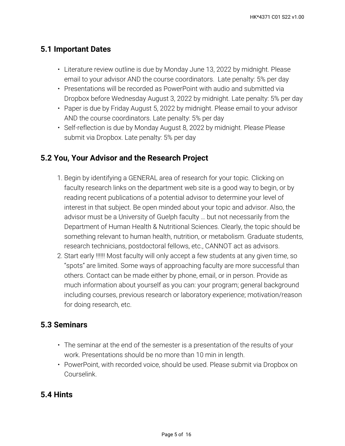# **5.1 Important Dates**

- Literature review outline is due by Monday June 13, 2022 by midnight. Please email to your advisor AND the course coordinators. Late penalty: 5% per day
- Presentations will be recorded as PowerPoint with audio and submitted via Dropbox before Wednesday August 3, 2022 by midnight. Late penalty: 5% per day
- Paper is due by Friday August 5, 2022 by midnight. Please email to your advisor AND the course coordinators. Late penalty: 5% per day
- Self-reflection is due by Monday August 8, 2022 by midnight. Please Please submit via Dropbox. Late penalty: 5% per day

# **5.2 You, Your Advisor and the Research Project**

- 1. Begin by identifying a GENERAL area of research for your topic. Clicking on faculty research links on the department web site is a good way to begin, or by reading recent publications of a potential advisor to determine your level of interest in that subject. Be open minded about your topic and advisor. Also, the advisor must be a University of Guelph faculty … but not necessarily from the Department of Human Health & Nutritional Sciences. Clearly, the topic should be something relevant to human health, nutrition, or metabolism. Graduate students, research technicians, postdoctoral fellows, etc., CANNOT act as advisors.
- Start early !!!!!! Most faculty will only accept a few students at any given time, so 2. "spots" are limited. Some ways of approaching faculty are more successful than others. Contact can be made either by phone, email, or in person. Provide as much information about yourself as you can: your program; general background including courses, previous research or laboratory experience; motivation/reason for doing research, etc.

## **5.3 Seminars**

- The seminar at the end of the semester is a presentation of the results of your work. Presentations should be no more than 10 min in length.
- PowerPoint, with recorded voice, should be used. Please submit via Dropbox on Courselink.

# **5.4 Hints**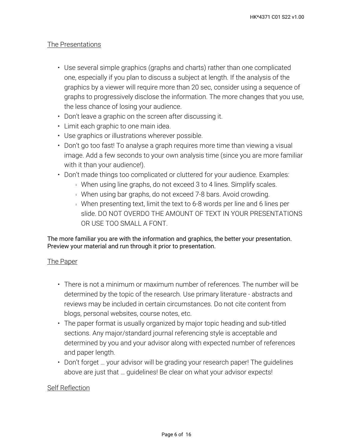### The Presentations

- Use several simple graphics (graphs and charts) rather than one complicated one, especially if you plan to discuss a subject at length. If the analysis of the graphics by a viewer will require more than 20 sec, consider using a sequence of graphs to progressively disclose the information. The more changes that you use, the less chance of losing your audience.
- Don't leave a graphic on the screen after discussing it.
- Limit each graphic to one main idea.
- Use graphics or illustrations wherever possible.
- Don't go too fast! To analyse a graph requires more time than viewing a visual image. Add a few seconds to your own analysis time (since you are more familiar with it than your audience!).
- Don't made things too complicated or cluttered for your audience. Examples:
	- **When using line graphs, do not exceed 3 to 4 lines. Simplify scales.**
	- **When using bar graphs, do not exceed 7-8 bars. Avoid crowding.**
	- When presenting text, limit the text to 6-8 words per line and 6 lines per slide. DO NOT OVERDO THE AMOUNT OF TEXT IN YOUR PRESENTATIONS OR USE TOO SMALL A FONT.

The more familiar you are with the information and graphics, the better your presentation. Preview your material and run through it prior to presentation.

#### The Paper

- There is not a minimum or maximum number of references. The number will be determined by the topic of the research. Use primary literature - abstracts and reviews may be included in certain circumstances. Do not cite content from blogs, personal websites, course notes, etc.
- The paper format is usually organized by major topic heading and sub-titled sections. Any major/standard journal referencing style is acceptable and determined by you and your advisor along with expected number of references and paper length.
- Don't forget … your advisor will be grading your research paper! The guidelines above are just that … guidelines! Be clear on what your advisor expects!

### Self Reflection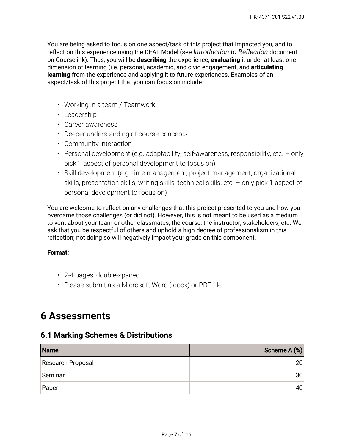You are being asked to focus on one aspect/task of this project that impacted you, and to reflect on this experience using the DEAL Model (see *Introduction to Reflection* document on Courselink). Thus, you will be **describing** the experience, **evaluating** it under at least one dimension of learning (i.e. personal, academic, and civic engagement, and **articulating learning** from the experience and applying it to future experiences. Examples of an aspect/task of this project that you can focus on include:

- Working in a team / Teamwork
- Leadership
- Career awareness
- Deeper understanding of course concepts
- Community interaction
- Personal development (e.g. adaptability, self-awareness, responsibility, etc. only pick 1 aspect of personal development to focus on)
- Skill development (e.g. time management, project management, organizational skills, presentation skills, writing skills, technical skills, etc. – only pick 1 aspect of personal development to focus on)

You are welcome to reflect on any challenges that this project presented to you and how you overcame those challenges (or did not). However, this is not meant to be used as a medium to vent about your team or other classmates, the course, the instructor, stakeholders, etc. We ask that you be respectful of others and uphold a high degree of professionalism in this reflection; not doing so will negatively impact your grade on this component.

#### **Format:**

- 2-4 pages, double-spaced
- Please submit as a Microsoft Word (.docx) or PDF file

# **6 Assessments**

### **6.1 Marking Schemes & Distributions**

| Name              | Scheme A (%)    |
|-------------------|-----------------|
| Research Proposal | 20 <sub>1</sub> |
| Seminar           | 30 <sup>2</sup> |
| Paper             | 40              |

\_\_\_\_\_\_\_\_\_\_\_\_\_\_\_\_\_\_\_\_\_\_\_\_\_\_\_\_\_\_\_\_\_\_\_\_\_\_\_\_\_\_\_\_\_\_\_\_\_\_\_\_\_\_\_\_\_\_\_\_\_\_\_\_\_\_\_\_\_\_\_\_\_\_\_\_\_\_\_\_\_\_\_\_\_\_\_\_\_\_\_\_\_\_\_\_\_\_\_\_\_\_\_\_\_\_\_\_\_\_\_\_\_\_\_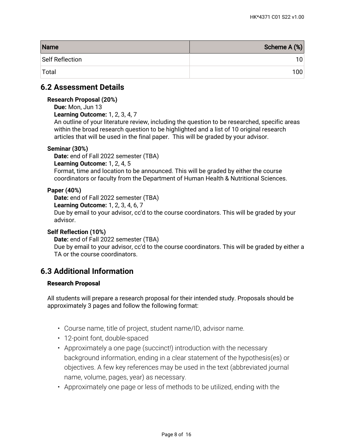| Name            | Scheme A (%) |
|-----------------|--------------|
| Self Reflection | 101          |
| Total           | 100          |

### **6.2 Assessment Details**

#### **Research Proposal (20%)**

**Due:** Mon, Jun 13

**Learning Outcome:** 1, 2, 3, 4, 7

An outline of your literature review, including the question to be researched, specific areas within the broad research question to be highlighted and a list of 10 original research articles that will be used in the final paper. This will be graded by your advisor.

#### **Seminar (30%)**

**Date:** end of Fall 2022 semester (TBA) **Learning Outcome:** 1, 2, 4, 5 Format, time and location to be announced. This will be graded by either the course coordinators or faculty from the Department of Human Health & Nutritional Sciences.

#### **Paper (40%)**

**Date:** end of Fall 2022 semester (TBA)

**Learning Outcome:** 1, 2, 3, 4, 6, 7

Due by email to your advisor, cc'd to the course coordinators. This will be graded by your advisor.

#### **Self Reflection (10%)**

**Date:** end of Fall 2022 semester (TBA)

Due by email to your advisor, cc'd to the course coordinators. This will be graded by either a TA or the course coordinators.

## **6.3 Additional Information**

#### **Research Proposal**

All students will prepare a research proposal for their intended study. Proposals should be approximately 3 pages and follow the following format:

- Course name, title of project, student name/ID, advisor name.
- 12-point font, double-spaced
- Approximately a one page (succinct!) introduction with the necessary background information, ending in a clear statement of the hypothesis(es) or objectives. A few key references may be used in the text (abbreviated journal name, volume, pages, year) as necessary.
- Approximately one page or less of methods to be utilized, ending with the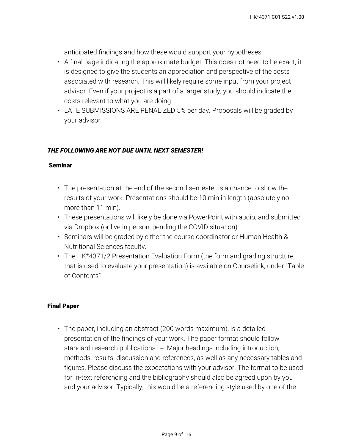anticipated findings and how these would support your hypotheses.

- $\bm{\cdot}$  A final page indicating the approximate budget. This does not need to be exact; it is designed to give the students an appreciation and perspective of the costs associated with research. This will likely require some input from your project advisor. Even if your project is a part of a larger study, you should indicate the costs relevant to what you are doing.
- LATE SUBMISSIONS ARE PENALIZED 5% per day. Proposals will be graded by your advisor.

### *THE FOLLOWING ARE NOT DUE UNTIL NEXT SEMESTER!*

#### **Seminar**

- The presentation at the end of the second semester is a chance to show the results of your work. Presentations should be 10 min in length (absolutely no more than 11 min).
- These presentations will likely be done via PowerPoint with audio, and submitted via Dropbox (or live in person, pending the COVID situation).
- Seminars will be graded by either the course coordinator or Human Health & Nutritional Sciences faculty.
- The HK\*4371/2 Presentation Evaluation Form (the form and grading structure that is used to evaluate your presentation) is available on Courselink, under "Table of Contents"

#### **Final Paper**

The paper, including an abstract (200 words maximum), is a detailed • presentation of the findings of your work. The paper format should follow standard research publications i.e. Major headings including introduction, methods, results, discussion and references, as well as any necessary tables and figures. Please discuss the expectations with your advisor. The format to be used for in-text referencing and the bibliography should also be agreed upon by you and your advisor. Typically, this would be a referencing style used by one of the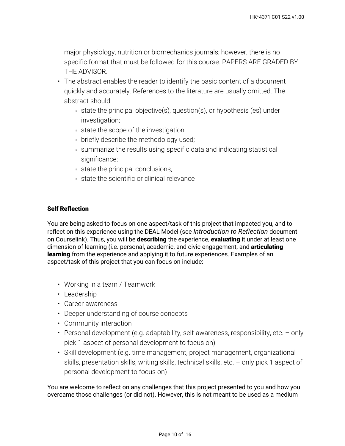major physiology, nutrition or biomechanics journals; however, there is no specific format that must be followed for this course. PAPERS ARE GRADED BY THE ADVISOR.

- The abstract enables the reader to identify the basic content of a document quickly and accurately. References to the literature are usually omitted. The abstract should:
	- state the principal objective(s), question(s), or hypothesis (es) under investigation;
	- state the scope of the investigation;
	- **briefly describe the methodology used;**
	- summarize the results using specific data and indicating statistical significance;
	- state the principal conclusions;
	- state the scientific or clinical relevance

#### **Self Reflection**

You are being asked to focus on one aspect/task of this project that impacted you, and to reflect on this experience using the DEAL Model (see *Introduction to Reflection* document on Courselink). Thus, you will be **describing** the experience, **evaluating** it under at least one dimension of learning (i.e. personal, academic, and civic engagement, and **articulating learning** from the experience and applying it to future experiences. Examples of an aspect/task of this project that you can focus on include:

- Working in a team / Teamwork
- Leadership
- Career awareness
- Deeper understanding of course concepts
- Community interaction
- Personal development (e.g. adaptability, self-awareness, responsibility, etc. only pick 1 aspect of personal development to focus on)
- Skill development (e.g. time management, project management, organizational skills, presentation skills, writing skills, technical skills, etc. – only pick 1 aspect of personal development to focus on)

You are welcome to reflect on any challenges that this project presented to you and how you overcame those challenges (or did not). However, this is not meant to be used as a medium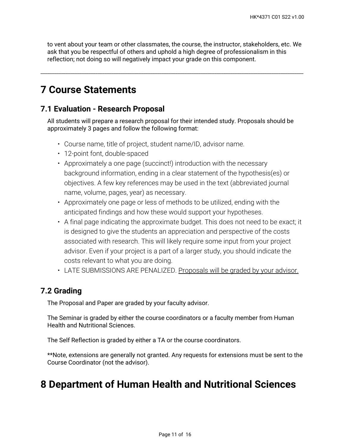to vent about your team or other classmates, the course, the instructor, stakeholders, etc. We ask that you be respectful of others and uphold a high degree of professionalism in this reflection; not doing so will negatively impact your grade on this component.

\_\_\_\_\_\_\_\_\_\_\_\_\_\_\_\_\_\_\_\_\_\_\_\_\_\_\_\_\_\_\_\_\_\_\_\_\_\_\_\_\_\_\_\_\_\_\_\_\_\_\_\_\_\_\_\_\_\_\_\_\_\_\_\_\_\_\_\_\_\_\_\_\_\_\_\_\_\_\_\_\_\_\_\_\_\_\_\_\_\_\_\_\_\_\_\_\_\_\_\_\_\_\_\_\_\_\_\_\_\_\_\_\_\_\_

# **7 Course Statements**

## **7.1 Evaluation - Research Proposal**

All students will prepare a research proposal for their intended study. Proposals should be approximately 3 pages and follow the following format:

- Course name, title of project, student name/ID, advisor name.
- 12-point font, double-spaced
- Approximately a one page (succinct!) introduction with the necessary background information, ending in a clear statement of the hypothesis(es) or objectives. A few key references may be used in the text (abbreviated journal name, volume, pages, year) as necessary.
- Approximately one page or less of methods to be utilized, ending with the anticipated findings and how these would support your hypotheses.
- A final page indicating the approximate budget. This does not need to be exact; it is designed to give the students an appreciation and perspective of the costs associated with research. This will likely require some input from your project advisor. Even if your project is a part of a larger study, you should indicate the costs relevant to what you are doing.
- LATE SUBMISSIONS ARE PENALIZED. Proposals will be graded by your advisor.

## **7.2 Grading**

The Proposal and Paper are graded by your faculty advisor.

The Seminar is graded by either the course coordinators or a faculty member from Human Health and Nutritional Sciences.

The Self Reflection is graded by either a TA or the course coordinators.

\*\*Note, extensions are generally not granted. Any requests for extensions must be sent to the Course Coordinator (not the advisor).

# **8 Department of Human Health and Nutritional Sciences**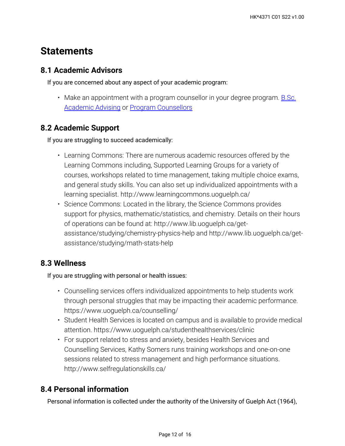# **Statements**

# **8.1 Academic Advisors**

If you are concerned about any aspect of your academic program:

• Make an appointment with a program counsellor in your degree program. <u>B.Sc.</u> [Academic Advising](https://bsc.uoguelph.ca/) or [Program Counsellors](https://www.uoguelph.ca/uaic/programcounsellors)

# **8.2 Academic Support**

If you are struggling to succeed academically:

- Learning Commons: There are numerous academic resources offered by the Learning Commons including, Supported Learning Groups for a variety of courses, workshops related to time management, taking multiple choice exams, and general study skills. You can also set up individualized appointments with a learning specialist. http://www.learningcommons.uoguelph.ca/
- Science Commons: Located in the library, the Science Commons provides support for physics, mathematic/statistics, and chemistry. Details on their hours of operations can be found at: http://www.lib.uoguelph.ca/getassistance/studying/chemistry-physics-help and http://www.lib.uoguelph.ca/getassistance/studying/math-stats-help

# **8.3 Wellness**

If you are struggling with personal or health issues:

- Counselling services offers individualized appointments to help students work through personal struggles that may be impacting their academic performance. https://www.uoguelph.ca/counselling/
- Student Health Services is located on campus and is available to provide medical attention. https://www.uoguelph.ca/studenthealthservices/clinic
- For support related to stress and anxiety, besides Health Services and Counselling Services, Kathy Somers runs training workshops and one-on-one sessions related to stress management and high performance situations. http://www.selfregulationskills.ca/

# **8.4 Personal information**

Personal information is collected under the authority of the University of Guelph Act (1964),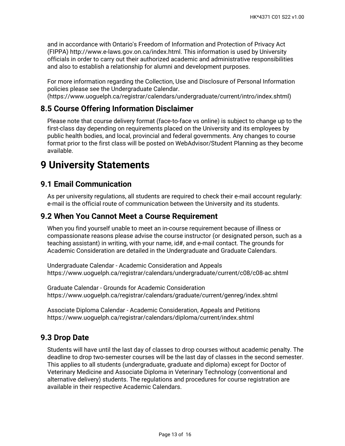and in accordance with Ontario's Freedom of Information and Protection of Privacy Act (FIPPA) http://www.e-laws.gov.on.ca/index.html. This information is used by University officials in order to carry out their authorized academic and administrative responsibilities and also to establish a relationship for alumni and development purposes.

For more information regarding the Collection, Use and Disclosure of Personal Information policies please see the Undergraduate Calendar. (https://www.uoguelph.ca/registrar/calendars/undergraduate/current/intro/index.shtml)

## **8.5 Course Offering Information Disclaimer**

Please note that course delivery format (face-to-face vs online) is subject to change up to the first-class day depending on requirements placed on the University and its employees by public health bodies, and local, provincial and federal governments. Any changes to course format prior to the first class will be posted on WebAdvisor/Student Planning as they become available.

# **9 University Statements**

## **9.1 Email Communication**

As per university regulations, all students are required to check their e-mail account regularly: e-mail is the official route of communication between the University and its students.

## **9.2 When You Cannot Meet a Course Requirement**

When you find yourself unable to meet an in-course requirement because of illness or compassionate reasons please advise the course instructor (or designated person, such as a teaching assistant) in writing, with your name, id#, and e-mail contact. The grounds for Academic Consideration are detailed in the Undergraduate and Graduate Calendars.

Undergraduate Calendar - Academic Consideration and Appeals https://www.uoguelph.ca/registrar/calendars/undergraduate/current/c08/c08-ac.shtml

Graduate Calendar - Grounds for Academic Consideration https://www.uoguelph.ca/registrar/calendars/graduate/current/genreg/index.shtml

Associate Diploma Calendar - Academic Consideration, Appeals and Petitions https://www.uoguelph.ca/registrar/calendars/diploma/current/index.shtml

## **9.3 Drop Date**

Students will have until the last day of classes to drop courses without academic penalty. The deadline to drop two-semester courses will be the last day of classes in the second semester. This applies to all students (undergraduate, graduate and diploma) except for Doctor of Veterinary Medicine and Associate Diploma in Veterinary Technology (conventional and alternative delivery) students. The regulations and procedures for course registration are available in their respective Academic Calendars.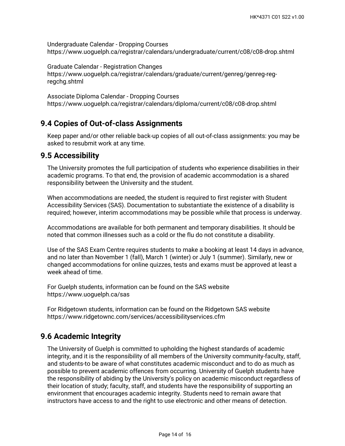Undergraduate Calendar - Dropping Courses https://www.uoguelph.ca/registrar/calendars/undergraduate/current/c08/c08-drop.shtml

Graduate Calendar - Registration Changes https://www.uoguelph.ca/registrar/calendars/graduate/current/genreg/genreg-regregchg.shtml

Associate Diploma Calendar - Dropping Courses https://www.uoguelph.ca/registrar/calendars/diploma/current/c08/c08-drop.shtml

## **9.4 Copies of Out-of-class Assignments**

Keep paper and/or other reliable back-up copies of all out-of-class assignments: you may be asked to resubmit work at any time.

### **9.5 Accessibility**

The University promotes the full participation of students who experience disabilities in their academic programs. To that end, the provision of academic accommodation is a shared responsibility between the University and the student.

When accommodations are needed, the student is required to first register with Student Accessibility Services (SAS). Documentation to substantiate the existence of a disability is required; however, interim accommodations may be possible while that process is underway.

Accommodations are available for both permanent and temporary disabilities. It should be noted that common illnesses such as a cold or the flu do not constitute a disability.

Use of the SAS Exam Centre requires students to make a booking at least 14 days in advance, and no later than November 1 (fall), March 1 (winter) or July 1 (summer). Similarly, new or changed accommodations for online quizzes, tests and exams must be approved at least a week ahead of time.

For Guelph students, information can be found on the SAS website https://www.uoguelph.ca/sas

For Ridgetown students, information can be found on the Ridgetown SAS website https://www.ridgetownc.com/services/accessibilityservices.cfm

# **9.6 Academic Integrity**

The University of Guelph is committed to upholding the highest standards of academic integrity, and it is the responsibility of all members of the University community-faculty, staff, and students-to be aware of what constitutes academic misconduct and to do as much as possible to prevent academic offences from occurring. University of Guelph students have the responsibility of abiding by the University's policy on academic misconduct regardless of their location of study; faculty, staff, and students have the responsibility of supporting an environment that encourages academic integrity. Students need to remain aware that instructors have access to and the right to use electronic and other means of detection.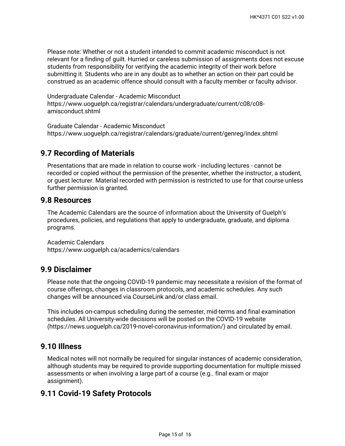Please note: Whether or not a student intended to commit academic misconduct is not relevant for a finding of guilt. Hurried or careless submission of assignments does not excuse students from responsibility for verifying the academic integrity of their work before submitting it. Students who are in any doubt as to whether an action on their part could be construed as an academic offence should consult with a faculty member or faculty advisor.

Undergraduate Calendar - Academic Misconduct https://www.uoguelph.ca/registrar/calendars/undergraduate/current/c08/c08 amisconduct.shtml

Graduate Calendar - Academic Misconduct https://www.uoguelph.ca/registrar/calendars/graduate/current/genreg/index.shtml

## **9.7 Recording of Materials**

Presentations that are made in relation to course work - including lectures - cannot be recorded or copied without the permission of the presenter, whether the instructor, a student, or guest lecturer. Material recorded with permission is restricted to use for that course unless further permission is granted.

### **9.8 Resources**

The Academic Calendars are the source of information about the University of Guelph's procedures, policies, and regulations that apply to undergraduate, graduate, and diploma programs.

Academic Calendars https://www.uoguelph.ca/academics/calendars

### **9.9 Disclaimer**

Please note that the ongoing COVID-19 pandemic may necessitate a revision of the format of course offerings, changes in classroom protocols, and academic schedules. Any such changes will be announced via CourseLink and/or class email.

This includes on-campus scheduling during the semester, mid-terms and final examination schedules. All University-wide decisions will be posted on the COVID-19 website (https://news.uoguelph.ca/2019-novel-coronavirus-information/) and circulated by email.

## **9.10 Illness**

Medical notes will not normally be required for singular instances of academic consideration, although students may be required to provide supporting documentation for multiple missed assessments or when involving a large part of a course (e.g.. final exam or major assignment).

## **9.11 Covid-19 Safety Protocols**